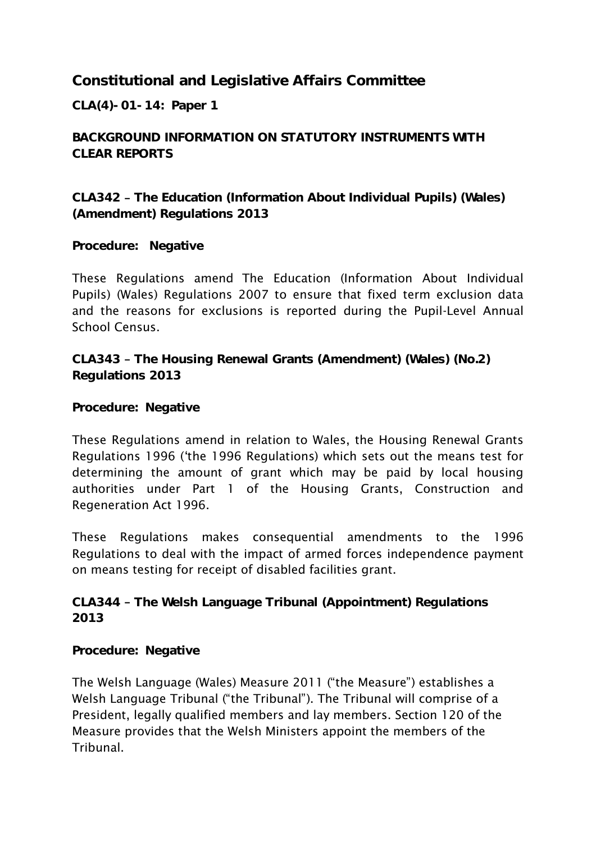**Constitutional and Legislative Affairs Committee**

**CLA(4)-01-14: Paper 1**

**BACKGROUND INFORMATION ON STATUTORY INSTRUMENTS WITH CLEAR REPORTS**

**CLA342 The Education (Information About Individual Pupils) (Wales) (Amendment) Regulations 2013**

**Procedure: Negative**

These Regulations amend The Education (Information About Individual Pupils) (Wales) Regulations 2007 to ensure that fixed term exclusion data and the reasons for exclusions is reported during the Pupil-Level Annual School Census.

**CLA343 The Housing Renewal Grants (Amendment) (Wales) (No.2) Regulations 2013**

**Procedure: Negative**

These Regulations amend in relation to Wales, the Housing Renewal Grants Regulations 1996 ("the 1996 Regulations) which sets out the means test for determining the amount of grant which may be paid by local housing authorities under Part 1 of the Housing Grants, Construction and Regeneration Act 1996.

These Regulations makes consequential amendments to the 1996 Regulations to deal with the impact of armed forces independence payment on means testing for receipt of disabled facilities grant.

**CLA344 The Welsh Language Tribunal (Appointment) Regulations 2013**

**Procedure: Negative**

The Welsh Language (Wales) Measure 2011 ("the Measure") establishes a Welsh Language Tribunal ("the Tribunal"). The Tribunal will comprise of a President, legally qualified members and lay members. Section 120 of the Measure provides that the Welsh Ministers appoint the members of the **Tribunal**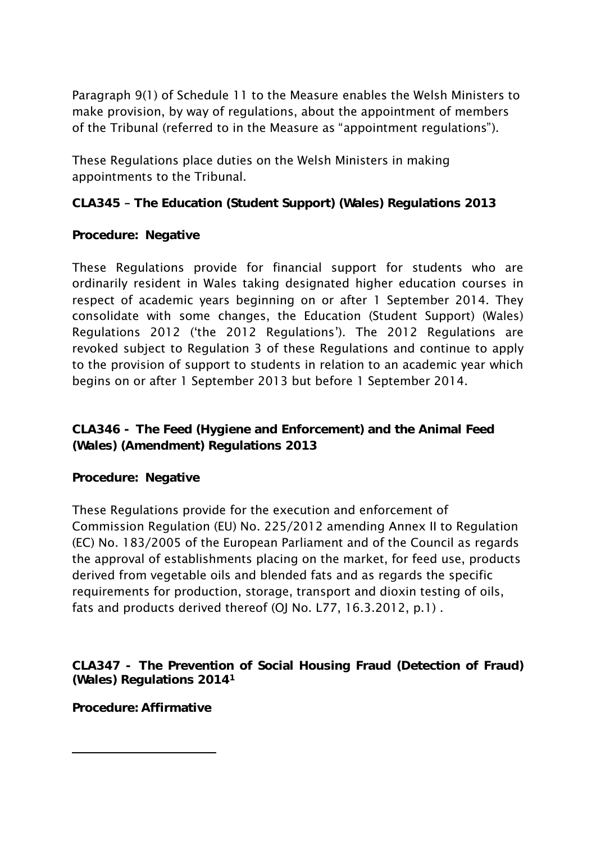Paragraph 9(1) of Schedule 11 to the Measure enables the Welsh Ministers to make provision, by way of regulations, about the appointment of members of the Tribunal (referred to in the Measure as "appointment regulations").

These Regulations place duties on the Welsh Ministers in making appointments to the Tribunal.

**CLA345 The Education (Student Support) (Wales) Regulations 2013**

**Procedure: Negative**

These Regulations provide for financial support for students who are ordinarily resident in Wales taking designated higher education courses in respect of academic years beginning on or after 1 September 2014. They consolidate with some changes, the Education (Student Support) (Wales) Regulations 2012 ("the 2012 Regulations"). The 2012 Regulations are revoked subject to Regulation 3 of these Regulations and continue to apply to the provision of support to students in relation to an academic year which begins on or after 1 September 2013 but before 1 September 2014.

**CLA346 - The Feed (Hygiene and Enforcement) and the Animal Feed (Wales) (Amendment) Regulations 2013**

**Procedure: Negative**

These Regulations provide for the execution and enforcement of Commission Regulation (EU) No. 225/2012 amending Annex II to Regulation (EC) No. 183/2005 of the European Parliament and of the Council as regards the approval of establishments placing on the market, for feed use, products derived from vegetable oils and blended fats and as regards the specific requirements for production, storage, transport and dioxin testing of oils, fats and products derived thereof (OJ No. L77, 16.3.2012, p.1).

**CLA347 - The Prevention of Social Housing Fraud (Detection of Fraud) (Wales) Regulations 2014<sup>1</sup>**

**Procedure: Affirmative**

**.**